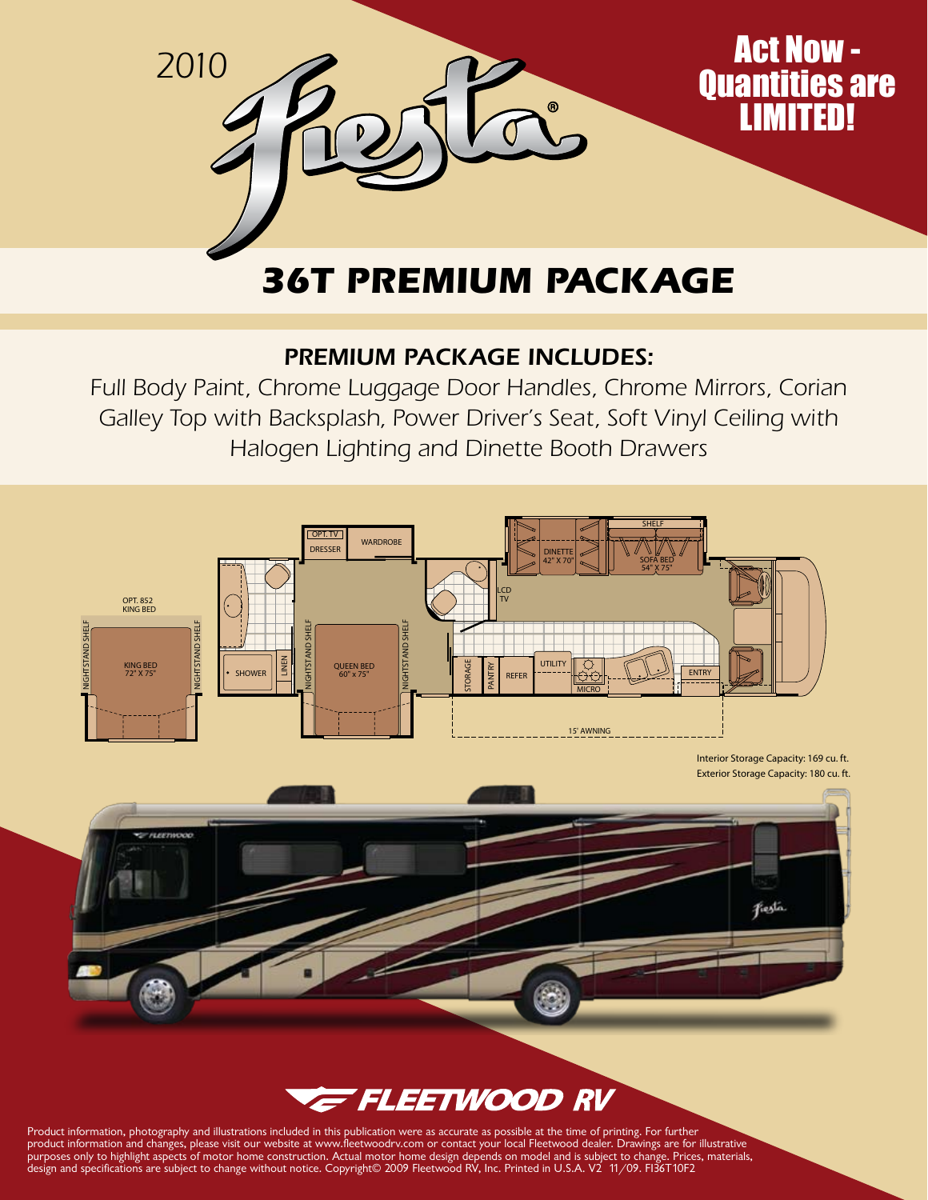

## **36T Premium Package**

## Premium Package Includes:

Full Body Paint, Chrome Luggage Door Handles, Chrome Mirrors, Corian Galley Top with Backsplash, Power Driver's Seat, Soft Vinyl Ceiling with Halogen Lighting and Dinette Booth Drawers





Product information, photography and illustrations included in this publication were as accurate as possible at the time of printing. For further product information and changes, please visit our website at www.fleetwoodrv.com or contact your local Fleetwood dealer. Drawings are for illustrative purposes only to highlight aspects of motor home construction. Actual motor home design depends on model and is subject to change. Prices, materials, design and specifications are subject to change without notice. Copyright© 2009 Fleetwood RV, Inc. Printed in U.S.A. V2 11/09. FI36T10F2